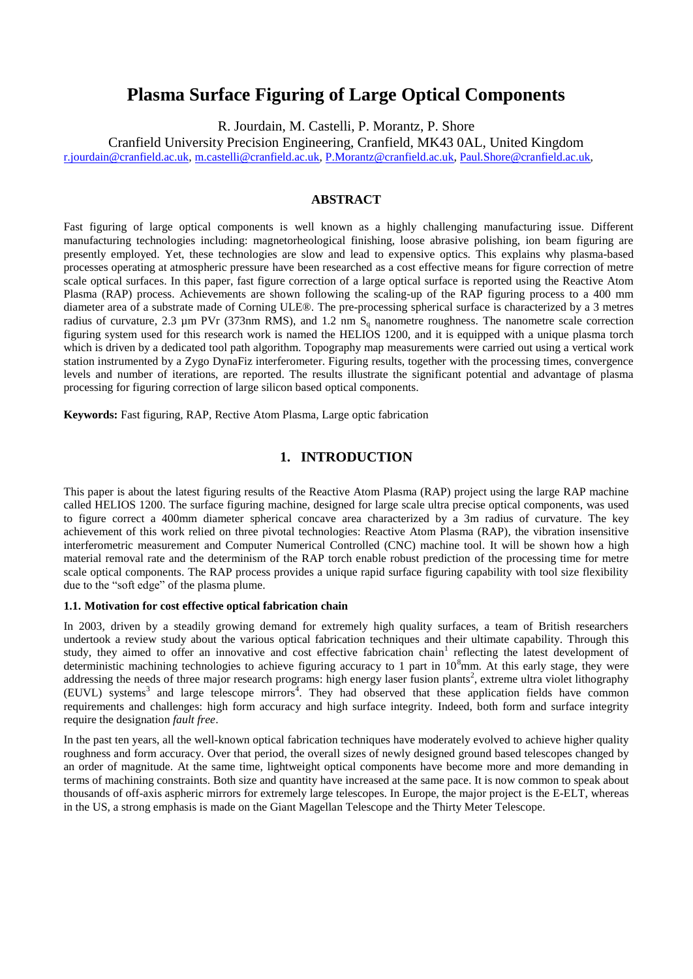# **Plasma Surface Figuring of Large Optical Components**

R. Jourdain, M. Castelli, P. Morantz, P. Shore

Cranfield University Precision Engineering, Cranfield, MK43 0AL, United Kingdom [r.jourdain@cranfield.ac.uk,](mailto:r.jourdain@cranfield.ac.uk) [m.castelli@cranfield.ac.uk,](mailto:m.castelli@cranfield.ac.uk) [P.Morantz@cranfield.ac.uk,](mailto:P.Morantz@cranfield.ac.uk) [Paul.Shore@cranfield.ac.uk,](mailto:Paul.Shore@cranfield.ac.uk)

# **ABSTRACT**

Fast figuring of large optical components is well known as a highly challenging manufacturing issue. Different manufacturing technologies including: magnetorheological finishing, loose abrasive polishing, ion beam figuring are presently employed. Yet, these technologies are slow and lead to expensive optics. This explains why plasma-based processes operating at atmospheric pressure have been researched as a cost effective means for figure correction of metre scale optical surfaces. In this paper, fast figure correction of a large optical surface is reported using the Reactive Atom Plasma (RAP) process. Achievements are shown following the scaling-up of the RAP figuring process to a 400 mm diameter area of a substrate made of Corning ULE®. The pre-processing spherical surface is characterized by a 3 metres radius of curvature, 2.3  $\mu$ m PVr (373nm RMS), and 1.2 nm S<sub>q</sub> nanometre roughness. The nanometre scale correction figuring system used for this research work is named the HELIOS 1200, and it is equipped with a unique plasma torch which is driven by a dedicated tool path algorithm. Topography map measurements were carried out using a vertical work station instrumented by a Zygo DynaFiz interferometer. Figuring results, together with the processing times, convergence levels and number of iterations, are reported. The results illustrate the significant potential and advantage of plasma processing for figuring correction of large silicon based optical components.

**Keywords:** Fast figuring, RAP, Rective Atom Plasma, Large optic fabrication

# **1. INTRODUCTION**

This paper is about the latest figuring results of the Reactive Atom Plasma (RAP) project using the large RAP machine called HELIOS 1200. The surface figuring machine, designed for large scale ultra precise optical components, was used to figure correct a 400mm diameter spherical concave area characterized by a 3m radius of curvature. The key achievement of this work relied on three pivotal technologies: Reactive Atom Plasma (RAP), the vibration insensitive interferometric measurement and Computer Numerical Controlled (CNC) machine tool. It will be shown how a high material removal rate and the determinism of the RAP torch enable robust prediction of the processing time for metre scale optical components. The RAP process provides a unique rapid surface figuring capability with tool size flexibility due to the "soft edge" of the plasma plume.

#### **1.1. Motivation for cost effective optical fabrication chain**

In 2003, driven by a steadily growing demand for extremely high quality surfaces, a team of British researchers undertook a review study about the various optical fabrication techniques and their ultimate capability. Through this study, they aimed to offer an innovative and cost effective fabrication chain<sup>1</sup> reflecting the latest development of deterministic machining technologies to achieve figuring accuracy to 1 part in  $10<sup>8</sup>$ mm. At this early stage, they were addressing the needs of three major research programs: high energy laser fusion plants<sup>2</sup>, extreme ultra violet lithography (EUVL) systems<sup>3</sup> and large telescope mirrors<sup>4</sup>. They had observed that these application fields have common requirements and challenges: high form accuracy and high surface integrity. Indeed, both form and surface integrity require the designation *fault free*.

In the past ten years, all the well-known optical fabrication techniques have moderately evolved to achieve higher quality roughness and form accuracy. Over that period, the overall sizes of newly designed ground based telescopes changed by an order of magnitude. At the same time, lightweight optical components have become more and more demanding in terms of machining constraints. Both size and quantity have increased at the same pace. It is now common to speak about thousands of off-axis aspheric mirrors for extremely large telescopes. In Europe, the major project is the E-ELT, whereas in the US, a strong emphasis is made on the Giant Magellan Telescope and the Thirty Meter Telescope.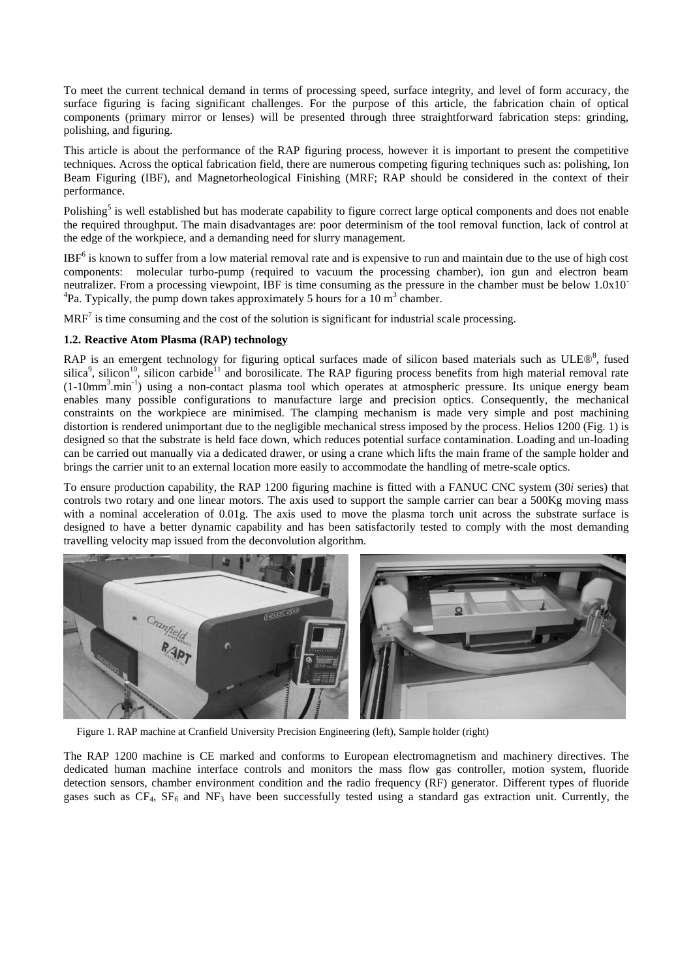To meet the current technical demand in terms of processing speed, surface integrity, and level of form accuracy, the surface figuring is facing significant challenges. For the purpose of this article, the fabrication chain of optical components (primary mirror or lenses) will be presented through three straightforward fabrication steps: grinding, polishing, and figuring.

This article is about the performance of the RAP figuring process, however it is important to present the competitive techniques. Across the optical fabrication field, there are numerous competing figuring techniques such as: polishing, Ion Beam Figuring (IBF), and Magnetorheological Finishing (MRF; RAP should be considered in the context of their performance.

Polishing<sup>5</sup> is well established but has moderate capability to figure correct large optical components and does not enable the required throughput. The main disadvantages are: poor determinism of the tool removal function, lack of control at the edge of the workpiece, and a demanding need for slurry management.

 $IBF<sup>6</sup>$  is known to suffer from a low material removal rate and is expensive to run and maintain due to the use of high cost components: molecular turbo-pump (required to vacuum the processing chamber), ion gun and electron beam neutralizer. From a processing viewpoint, IBF is time consuming as the pressure in the chamber must be below 1.0x10<sup>-</sup> <sup>4</sup>Pa. Typically, the pump down takes approximately 5 hours for a 10 m<sup>3</sup> chamber.

 $MRF<sup>7</sup>$  is time consuming and the cost of the solution is significant for industrial scale processing.

### **1.2. Reactive Atom Plasma (RAP) technology**

RAP is an emergent technology for figuring optical surfaces made of silicon based materials such as ULE®<sup>8</sup>, fused silica<sup>9</sup>, silicon<sup>10</sup>, silicon carbide<sup>11</sup> and borosilicate. The RAP figuring process benefits from high material removal rate (1-10mm<sup>3</sup>.min<sup>-1</sup>) using a non-contact plasma tool which operates at atmospheric pressure. Its unique energy beam enables many possible configurations to manufacture large and precision optics. Consequently, the mechanical constraints on the workpiece are minimised. The clamping mechanism is made very simple and post machining distortion is rendered unimportant due to the negligible mechanical stress imposed by the process. Helios 1200 (Fig. 1) is designed so that the substrate is held face down, which reduces potential surface contamination. Loading and un-loading can be carried out manually via a dedicated drawer, or using a crane which lifts the main frame of the sample holder and brings the carrier unit to an external location more easily to accommodate the handling of metre-scale optics.

To ensure production capability, the RAP 1200 figuring machine is fitted with a FANUC CNC system (30*i* series) that controls two rotary and one linear motors. The axis used to support the sample carrier can bear a 500Kg moving mass with a nominal acceleration of 0.01g. The axis used to move the plasma torch unit across the substrate surface is designed to have a better dynamic capability and has been satisfactorily tested to comply with the most demanding travelling velocity map issued from the deconvolution algorithm.



Figure 1. RAP machine at Cranfield University Precision Engineering (left), Sample holder (right)

The RAP 1200 machine is CE marked and conforms to European electromagnetism and machinery directives. The dedicated human machine interface controls and monitors the mass flow gas controller, motion system, fluoride detection sensors, chamber environment condition and the radio frequency (RF) generator. Different types of fluoride gases such as  $CF_4$ ,  $SF_6$  and  $NF_3$  have been successfully tested using a standard gas extraction unit. Currently, the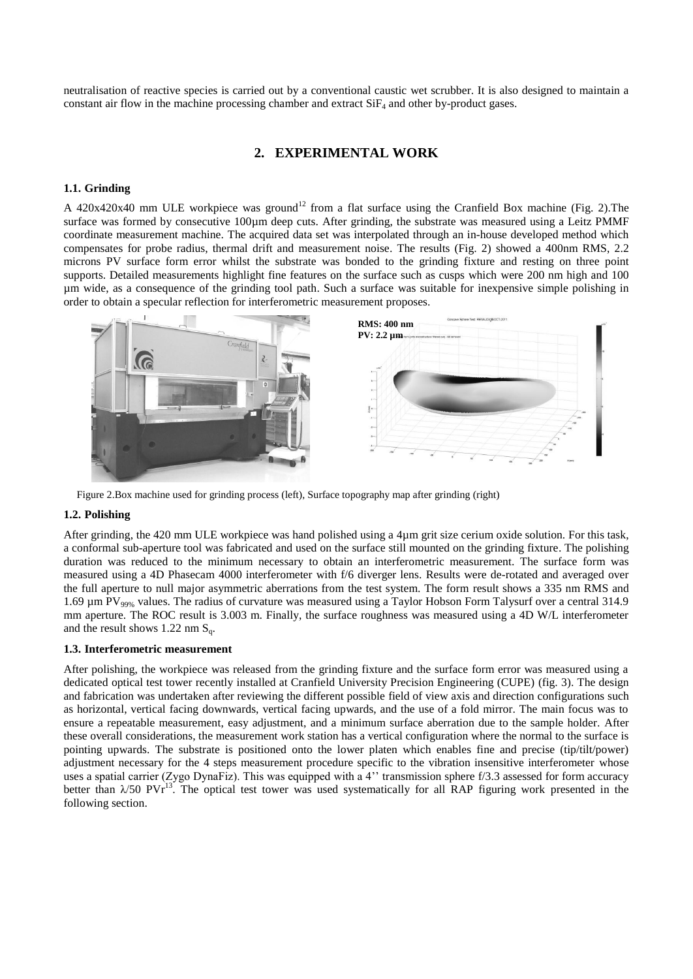neutralisation of reactive species is carried out by a conventional caustic wet scrubber. It is also designed to maintain a constant air flow in the machine processing chamber and extract  $SiF<sub>4</sub>$  and other by-product gases.

# **2. EXPERIMENTAL WORK**

#### **1.1. Grinding**

A 420x420x40 mm ULE workpiece was ground<sup>12</sup> from a flat surface using the Cranfield Box machine (Fig. 2). The surface was formed by consecutive 100µm deep cuts. After grinding, the substrate was measured using a Leitz PMMF coordinate measurement machine. The acquired data set was interpolated through an in-house developed method which compensates for probe radius, thermal drift and measurement noise. The results (Fig. 2) showed a 400nm RMS, 2.2 microns PV surface form error whilst the substrate was bonded to the grinding fixture and resting on three point supports. Detailed measurements highlight fine features on the surface such as cusps which were 200 nm high and 100 µm wide, as a consequence of the grinding tool path. Such a surface was suitable for inexpensive simple polishing in order to obtain a specular reflection for interferometric measurement proposes.



Figure 2.Box machine used for grinding process (left), Surface topography map after grinding (right)

#### **1.2. Polishing**

After grinding, the 420 mm ULE workpiece was hand polished using a 4µm grit size cerium oxide solution. For this task, a conformal sub-aperture tool was fabricated and used on the surface still mounted on the grinding fixture. The polishing duration was reduced to the minimum necessary to obtain an interferometric measurement. The surface form was measured using a 4D Phasecam 4000 interferometer with f/6 diverger lens. Results were de-rotated and averaged over the full aperture to null major asymmetric aberrations from the test system. The form result shows a 335 nm RMS and 1.69 µm PV<sub>99%</sub> values. The radius of curvature was measured using a Taylor Hobson Form Talysurf over a central 314.9 mm aperture. The ROC result is 3.003 m. Finally, the surface roughness was measured using a 4D W/L interferometer and the result shows 1.22 nm  $S_q$ .

#### **1.3. Interferometric measurement**

After polishing, the workpiece was released from the grinding fixture and the surface form error was measured using a dedicated optical test tower recently installed at Cranfield University Precision Engineering (CUPE) (fig. 3). The design and fabrication was undertaken after reviewing the different possible field of view axis and direction configurations such as horizontal, vertical facing downwards, vertical facing upwards, and the use of a fold mirror. The main focus was to ensure a repeatable measurement, easy adjustment, and a minimum surface aberration due to the sample holder. After these overall considerations, the measurement work station has a vertical configuration where the normal to the surface is pointing upwards. The substrate is positioned onto the lower platen which enables fine and precise (tip/tilt/power) adjustment necessary for the 4 steps measurement procedure specific to the vibration insensitive interferometer whose uses a spatial carrier (Zygo DynaFiz). This was equipped with a 4'' transmission sphere f/3.3 assessed for form accuracy better than  $\lambda$ /50 PVr<sup>13</sup>. The optical test tower was used systematically for all RAP figuring work presented in the following section.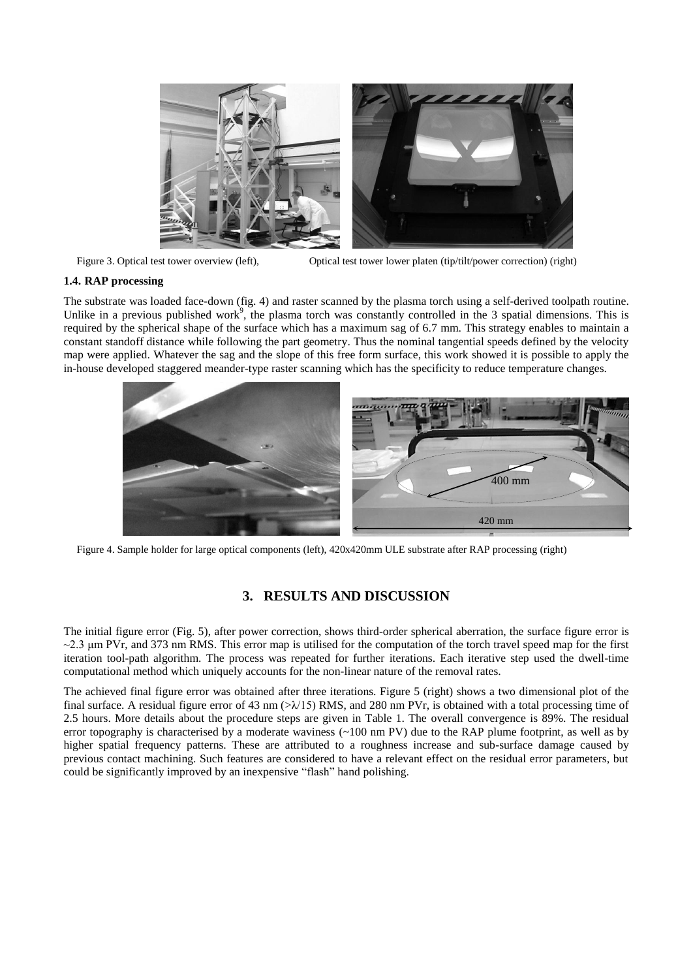

Figure 3. Optical test tower overview (left), Optical test tower lower platen (tip/tilt/power correction) (right)

### **1.4. RAP processing**

The substrate was loaded face-down (fig. 4) and raster scanned by the plasma torch using a self-derived toolpath routine. Unlike in a previous published work<sup>9</sup>, the plasma torch was constantly controlled in the 3 spatial dimensions. This is required by the spherical shape of the surface which has a maximum sag of 6.7 mm. This strategy enables to maintain a constant standoff distance while following the part geometry. Thus the nominal tangential speeds defined by the velocity map were applied. Whatever the sag and the slope of this free form surface, this work showed it is possible to apply the in-house developed staggered meander-type raster scanning which has the specificity to reduce temperature changes.



Figure 4. Sample holder for large optical components (left), 420x420mm ULE substrate after RAP processing (right)

# **3. RESULTS AND DISCUSSION**

The initial figure error (Fig. 5), after power correction, shows third-order spherical aberration, the surface figure error is  $\sim$ 2.3 µm PVr, and 373 nm RMS. This error map is utilised for the computation of the torch travel speed map for the first iteration tool-path algorithm. The process was repeated for further iterations. Each iterative step used the dwell-time computational method which uniquely accounts for the non-linear nature of the removal rates.

The achieved final figure error was obtained after three iterations. Figure 5 (right) shows a two dimensional plot of the final surface. A residual figure error of 43 nm  $(\gg\chi/15)$  RMS, and 280 nm PVr, is obtained with a total processing time of 2.5 hours. More details about the procedure steps are given in Table 1. The overall convergence is 89%. The residual error topography is characterised by a moderate waviness  $(\sim 100 \text{ nm PV})$  due to the RAP plume footprint, as well as by higher spatial frequency patterns. These are attributed to a roughness increase and sub-surface damage caused by previous contact machining. Such features are considered to have a relevant effect on the residual error parameters, but could be significantly improved by an inexpensive "flash" hand polishing.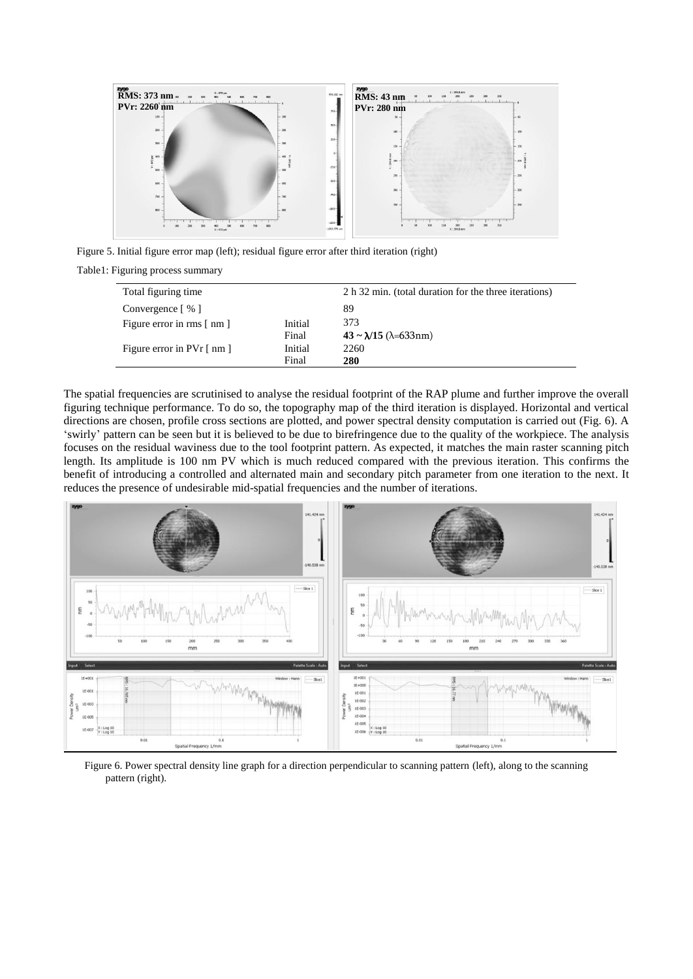

Figure 5. Initial figure error map (left); residual figure error after third iteration (right)

Table1: Figuring process summary

| Total figuring time                      |         | 2 h 32 min. (total duration for the three iterations) |
|------------------------------------------|---------|-------------------------------------------------------|
| Convergence $\lceil \% \rceil$           |         | 89                                                    |
| Figure error in rms $\lceil$ nm $\rceil$ | Initial | 373                                                   |
|                                          | Final   | $43 \sim \lambda/15$ ( $\lambda = 633$ nm)            |
| Figure error in $Pvr \mid nm \mid$       | Initial | 2260                                                  |
|                                          | Final   | 280                                                   |

The spatial frequencies are scrutinised to analyse the residual footprint of the RAP plume and further improve the overall figuring technique performance. To do so, the topography map of the third iteration is displayed. Horizontal and vertical directions are chosen, profile cross sections are plotted, and power spectral density computation is carried out (Fig. 6). A 'swirly' pattern can be seen but it is believed to be due to birefringence due to the quality of the workpiece. The analysis focuses on the residual waviness due to the tool footprint pattern. As expected, it matches the main raster scanning pitch length. Its amplitude is 100 nm PV which is much reduced compared with the previous iteration. This confirms the benefit of introducing a controlled and alternated main and secondary pitch parameter from one iteration to the next. It reduces the presence of undesirable mid-spatial frequencies and the number of iterations.



Figure 6. Power spectral density line graph for a direction perpendicular to scanning pattern (left), along to the scanning pattern (right).